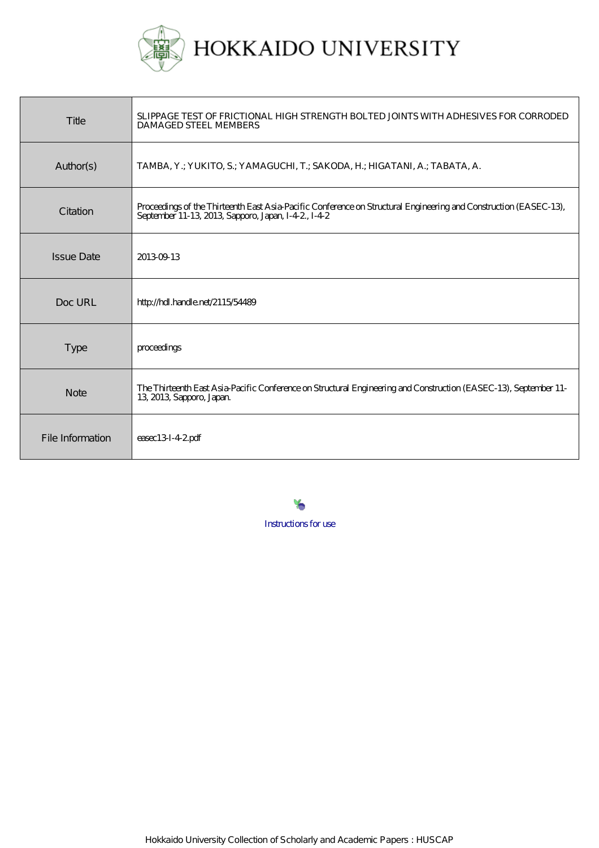

| Title             | SLIPPAGE TEST OF FRICTIONAL HIGH STRENGTH BOLTED JOINTS WITH ADHESIVES FOR CORRODED<br><b>DAMAGED STEEL MEMBERS</b>                                                    |
|-------------------|------------------------------------------------------------------------------------------------------------------------------------------------------------------------|
| Author(s)         | TAMBA, Y.; YUKITO, S.; YAMAGUCHI, T.; SAKODA, H.; HIGATANI, A.; TABATA, A.                                                                                             |
| Citation          | Proceedings of the Thirteenth East Asia-Pacific Conference on Structural Engineering and Construction (EASEC-13),<br>September 11-13, 2013, Sapporo, Japan, I-42, I-42 |
| <b>Issue Date</b> | 20130913                                                                                                                                                               |
| Doc URL           | http://hdl.handle.net/2115/54489                                                                                                                                       |
| <b>Type</b>       | proceedings                                                                                                                                                            |
| <b>Note</b>       | The Thirteenth East Asia-Pacific Conference on Structural Engineering and Construction (EASEC-13), September 11-<br>13, 2013, Sapporo, Japan.                          |
| File Information  | $\epsilon$ asec13I-42pdf                                                                                                                                               |

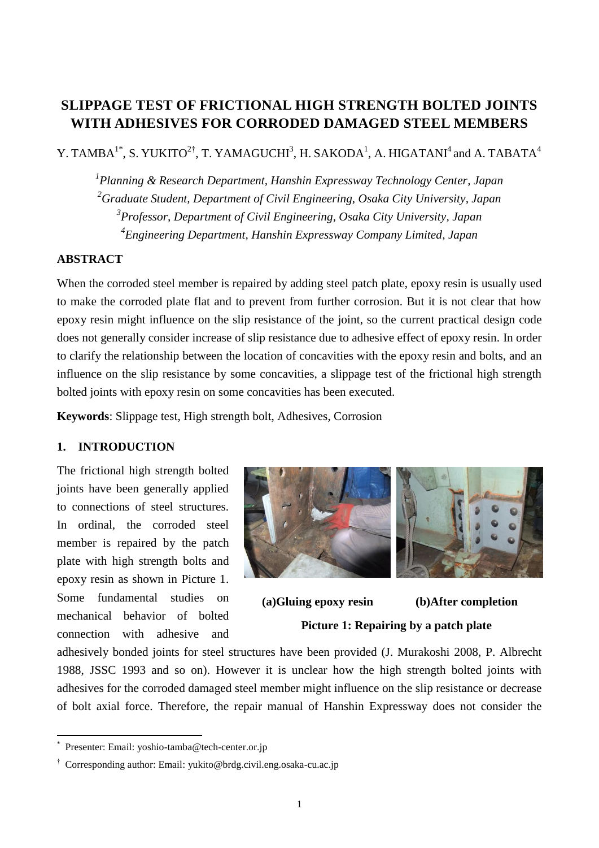# **SLIPPAGE TEST OF FRICTIONAL HIGH STRENGTH BOLTED JOINTS WITH ADHESIVES FOR CORRODED DAMAGED STEEL MEMBERS**

Y. TAMBA<sup>1\*</sup>, S. YUKITO<sup>2†</sup>, T. YAMAGUCHI<sup>3</sup>, H. SAKODA<sup>1</sup>, A. HIGATANI<sup>4</sup> and A. TABATA<sup>4</sup>

 *Planning & Research Department, Hanshin Expressway Technology Center, Japan Graduate Student, Department of Civil Engineering, Osaka City University, Japan Professor, Department of Civil Engineering, Osaka City University, Japan Engineering Department, Hanshin Expressway Company Limited, Japan* 

# **ABSTRACT**

When the corroded steel member is repaired by adding steel patch plate, epoxy resin is usually used to make the corroded plate flat and to prevent from further corrosion. But it is not clear that how epoxy resin might influence on the slip resistance of the joint, so the current practical design code does not generally consider increase of slip resistance due to adhesive effect of epoxy resin. In order to clarify the relationship between the location of concavities with the epoxy resin and bolts, and an influence on the slip resistance by some concavities, a slippage test of the frictional high strength bolted joints with epoxy resin on some concavities has been executed.

**Keywords**: Slippage test, High strength bolt, Adhesives, Corrosion

## **1. INTRODUCTION**

The frictional high strength bolted joints have been generally applied to connections of steel structures. In ordinal, the corroded steel member is repaired by the patch plate with high strength bolts and epoxy resin as shown in Picture 1. Some fundamental studies on mechanical behavior of bolted connection with adhesive and



**(a)Gluing epoxy resin (b)After completion Picture 1: Repairing by a patch plate**

adhesively bonded joints for steel structures have been provided (J. Murakoshi 2008, P. Albrecht 1988, JSSC 1993 and so on). However it is unclear how the high strength bolted joints with adhesives for the corroded damaged steel member might influence on the slip resistance or decrease of bolt axial force. Therefore, the repair manual of Hanshin Expressway does not consider the

1

<sup>\*</sup> Presenter: Email: yoshio-tamba@tech-center.or.jp

<sup>†</sup> Corresponding author: Email: yukito@brdg.civil.eng.osaka-cu.ac.jp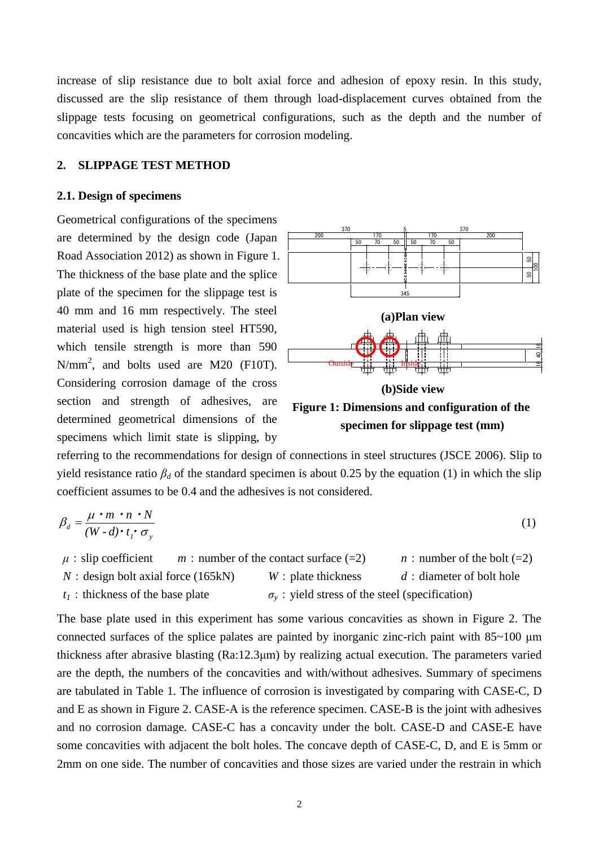increase of slip resistance due to bolt axial force and adhesion of epoxy resin. In this study, discussed are the slip resistance of them through load-displacement curves obtained from the slippage tests focusing on geometrical configurations, such as the depth and the number of concavities which are the parameters for corrosion modeling.

#### **2. SLIPPAGE TEST METHOD**

#### **2.1. Design of specimens**

Geometrical configurations of the specimens are determined by the design code (Japan Road Association 2012) as shown in Figure 1. The thickness of the base plate and the splice plate of the specimen for the slippage test is 40 mm and 16 mm respectively. The steel material used is high tension steel HT590, which tensile strength is more than 590  $N/mm^2$ , and bolts used are M20 (F10T). Considering corrosion damage of the cross section and strength of adhesives, are determined geometrical dimensions of the specimens which limit state is slipping, by



referring to the recommendations for design of connections in steel structures (JSCE 2006). Slip to yield resistance ratio  $\beta_d$  of the standard specimen is about 0.25 by the equation (1) in which the slip coefficient assumes to be 0.4 and the adhesives is not considered.

$$
\beta_d = \frac{\mu \cdot m \cdot n \cdot N}{(W - d) \cdot t_i \cdot \sigma_y} \tag{1}
$$

$$
\mu
$$
: slip coefficient *m*: number of the contact surface (=2) *n*: number of the bolt (=2) *N*: design bolt axial force (165kN) *W*: plate thickness *d*: diameter of bolt hole  $t_1$ : thickness of the base plate  $\sigma_y$ : yield stress of the steel (specification)

The base plate used in this experiment has some various concavities as shown in Figure 2. The connected surfaces of the splice palates are painted by inorganic zinc-rich paint with 85~100 μm thickness after abrasive blasting (Ra:12.3μm) by realizing actual execution. The parameters varied are the depth, the numbers of the concavities and with/without adhesives. Summary of specimens are tabulated in Table 1. The influence of corrosion is investigated by comparing with CASE-C, D and E as shown in Figure 2. CASE-A is the reference specimen. CASE-B is the joint with adhesives and no corrosion damage. CASE-C has a concavity under the bolt. CASE-D and CASE-E have some concavities with adjacent the bolt holes. The concave depth of CASE-C, D, and E is 5mm or 2mm on one side. The number of concavities and those sizes are varied under the restrain in which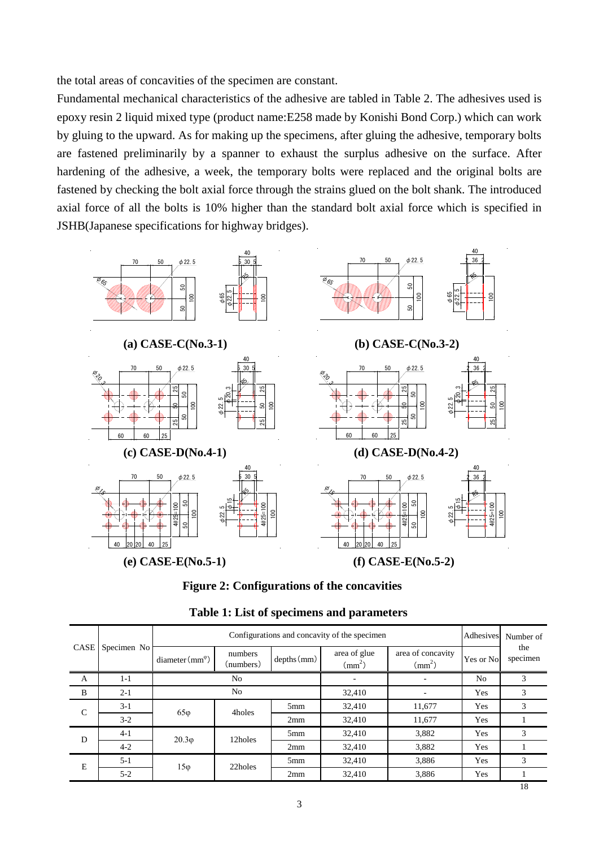the total areas of concavities of the specimen are constant.

Fundamental mechanical characteristics of the adhesive are tabled in Table 2. The adhesives used is epoxy resin 2 liquid mixed type (product name:E258 made by Konishi Bond Corp.) which can work by gluing to the upward. As for making up the specimens, after gluing the adhesive, temporary bolts are fastened preliminarily by a spanner to exhaust the surplus adhesive on the surface. After hardening of the adhesive, a week, the temporary bolts were replaced and the original bolts are fastened by checking the bolt axial force through the strains glued on the bolt shank. The introduced axial force of all the bolts is 10% higher than the standard bolt axial force which is specified in JSHB(Japanese specifications for highway bridges).



**Figure 2: Configurations of the concavities**

| CASE          | Specimen No | Configurations and concavity of the specimen |                      |                 |                              | Adhesives                         | Number of      |                 |
|---------------|-------------|----------------------------------------------|----------------------|-----------------|------------------------------|-----------------------------------|----------------|-----------------|
|               |             | $diameter(mm^{\circ})$                       | numbers<br>(numbers) | $depths$ (mm)   | area of glue<br>$\text{m}^2$ | area of concavity<br>$\text{m}^2$ | Yes or No      | the<br>specimen |
| A             | $1-1$       | No                                           |                      |                 |                              |                                   | N <sub>0</sub> | 3               |
| B             | $2-1$       | No                                           |                      |                 | 32,410                       |                                   | Yes            | 3               |
| $\mathcal{C}$ | $3-1$       | $65\varphi$                                  | 4holes               | 5 <sub>mm</sub> | 32,410                       | 11,677                            | Yes            | 3               |
|               | $3-2$       |                                              |                      | 2mm             | 32,410                       | 11,677                            | Yes            |                 |
| D             | $4-1$       | $20.3\varphi$                                | 12holes              | 5 <sub>mm</sub> | 32,410                       | 3,882                             | Yes            | 3               |
|               | $4 - 2$     |                                              |                      |                 | 2mm                          | 32,410                            | 3,882          | Yes             |
| Е             | $5-1$       | $15\varphi$                                  | 22holes              | 5 <sub>mm</sub> | 32,410                       | 3,886                             | Yes            | 3               |
|               | $5-2$       |                                              |                      | 2mm             | 32,410                       | 3,886                             | Yes            |                 |

**Table 1: List of specimens and parameters**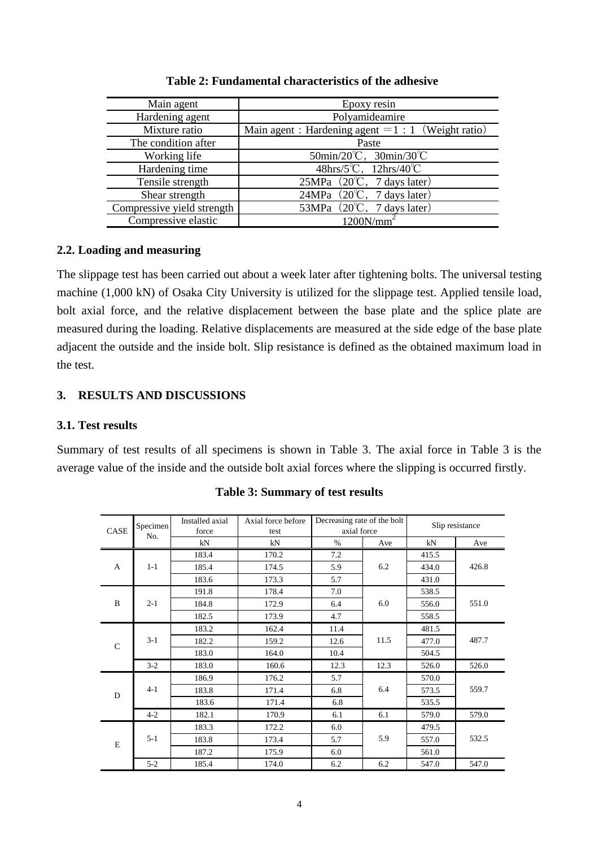| Main agent                 | Epoxy resin                                                           |  |  |
|----------------------------|-----------------------------------------------------------------------|--|--|
| Hardening agent            | Polyamideamire                                                        |  |  |
| Mixture ratio              | Main agent : Hardening agent $= 1 : 1$ (Weight ratio)                 |  |  |
| The condition after        | Paste                                                                 |  |  |
| Working life               | $50\text{min}/20^{\circ}\text{C}$ , $30\text{min}/30^{\circ}\text{C}$ |  |  |
| Hardening time             | $48\text{hrs}/5^{\circ}\text{C}$ , $12\text{hrs}/40^{\circ}\text{C}$  |  |  |
| Tensile strength           | 25MPa $(20^{\circ}\text{C}, 7 \text{ days later})$                    |  |  |
| Shear strength             | $\overline{24MPa}$ (20°C, 7 days later)                               |  |  |
| Compressive yield strength | 53MPa $(20^{\circ}\text{C}, 7 \text{ days later})$                    |  |  |
| Compressive elastic        |                                                                       |  |  |

**Table 2: Fundamental characteristics of the adhesive**

### **2.2. Loading and measuring**

The slippage test has been carried out about a week later after tightening bolts. The universal testing machine (1,000 kN) of Osaka City University is utilized for the slippage test. Applied tensile load, bolt axial force, and the relative displacement between the base plate and the splice plate are measured during the loading. Relative displacements are measured at the side edge of the base plate adjacent the outside and the inside bolt. Slip resistance is defined as the obtained maximum load in the test.

# **3. RESULTS AND DISCUSSIONS**

# **3.1. Test results**

Summary of test results of all specimens is shown in Table 3. The axial force in Table 3 is the average value of the inside and the outside bolt axial forces where the slipping is occurred firstly.

| CASE          | Specimen | Installed axial<br>force | Axial force before<br>test | Decreasing rate of the bolt<br>axial force |      | Slip resistance |       |
|---------------|----------|--------------------------|----------------------------|--------------------------------------------|------|-----------------|-------|
|               | No.      | kN                       | kN                         | $\%$                                       | Ave  | kN              | Ave   |
| A             | $1 - 1$  | 183.4                    | 170.2                      | 7.2                                        | 6.2  | 415.5           | 426.8 |
|               |          | 185.4                    | 174.5                      | 5.9                                        |      | 434.0           |       |
|               |          | 183.6                    | 173.3                      | 5.7                                        |      | 431.0           |       |
| B             | $2 - 1$  | 191.8                    | 178.4                      | 7.0                                        | 6.0  | 538.5           | 551.0 |
|               |          | 184.8                    | 172.9                      | 6.4                                        |      | 556.0           |       |
|               |          | 182.5                    | 173.9                      | 4.7                                        |      | 558.5           |       |
| $\mathcal{C}$ | $3-1$    | 183.2                    | 162.4                      | 11.4                                       | 11.5 | 481.5           | 487.7 |
|               |          | 182.2                    | 159.2                      | 12.6                                       |      | 477.0           |       |
|               |          | 183.0                    | 164.0                      | 10.4                                       |      | 504.5           |       |
|               | $3 - 2$  | 183.0                    | 160.6                      | 12.3                                       | 12.3 | 526.0           | 526.0 |
| D             | $4-1$    | 186.9                    | 176.2                      | 5.7                                        | 6.4  | 570.0           | 559.7 |
|               |          | 183.8                    | 171.4                      | 6.8                                        |      | 573.5           |       |
|               |          | 183.6                    | 171.4                      | 6.8                                        |      | 535.5           |       |
|               | $4 - 2$  | 182.1                    | 170.9                      | 6.1                                        | 6.1  | 579.0           | 579.0 |
| E             | $5 - 1$  | 183.3                    | 172.2                      | 6.0                                        |      | 479.5           | 532.5 |
|               |          | 183.8                    | 173.4                      | 5.7                                        | 5.9  | 557.0           |       |
|               |          | 187.2                    | 175.9                      | 6.0                                        |      | 561.0           |       |
|               | $5 - 2$  | 185.4                    | 174.0                      | 6.2                                        | 6.2  | 547.0           | 547.0 |

|  | <b>Table 3: Summary of test results</b> |  |  |
|--|-----------------------------------------|--|--|
|--|-----------------------------------------|--|--|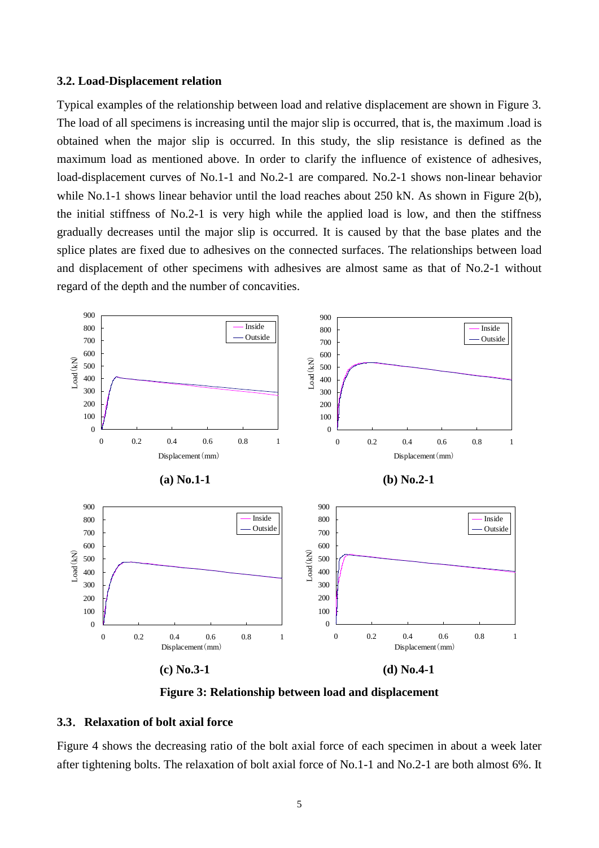#### **3.2. Load-Displacement relation**

Typical examples of the relationship between load and relative displacement are shown in Figure 3. The load of all specimens is increasing until the major slip is occurred, that is, the maximum .load is obtained when the major slip is occurred. In this study, the slip resistance is defined as the maximum load as mentioned above. In order to clarify the influence of existence of adhesives, load-displacement curves of No.1-1 and No.2-1 are compared. No.2-1 shows non-linear behavior while No.1-1 shows linear behavior until the load reaches about 250 kN. As shown in Figure 2(b), the initial stiffness of No.2-1 is very high while the applied load is low, and then the stiffness gradually decreases until the major slip is occurred. It is caused by that the base plates and the splice plates are fixed due to adhesives on the connected surfaces. The relationships between load and displacement of other specimens with adhesives are almost same as that of No.2-1 without regard of the depth and the number of concavities.



**Figure 3: Relationship between load and displacement**

# **3.3**.**Relaxation of bolt axial force**

Figure 4 shows the decreasing ratio of the bolt axial force of each specimen in about a week later after tightening bolts. The relaxation of bolt axial force of No.1-1 and No.2-1 are both almost 6%. It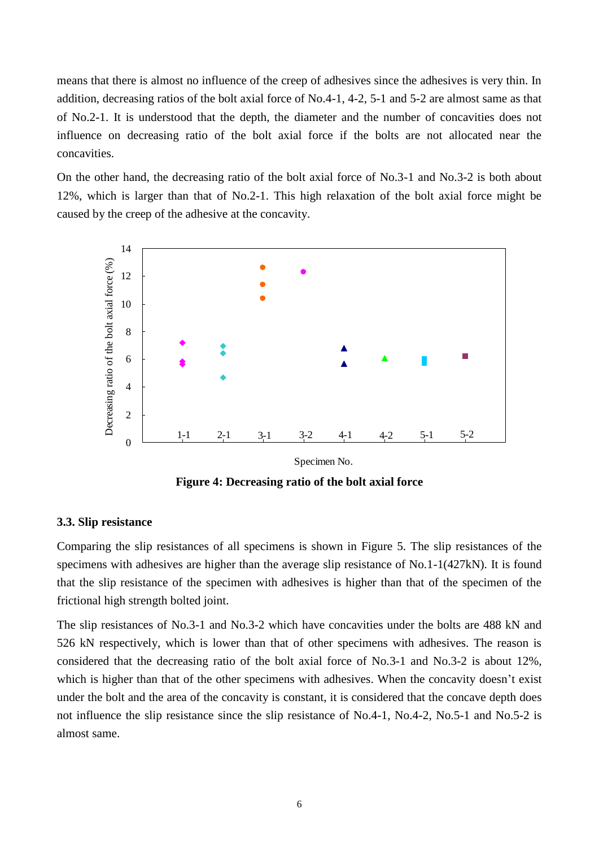means that there is almost no influence of the creep of adhesives since the adhesives is very thin. In addition, decreasing ratios of the bolt axial force of No.4-1, 4-2, 5-1 and 5-2 are almost same as that of No.2-1. It is understood that the depth, the diameter and the number of concavities does not influence on decreasing ratio of the bolt axial force if the bolts are not allocated near the concavities.

On the other hand, the decreasing ratio of the bolt axial force of No.3-1 and No.3-2 is both about 12%, which is larger than that of No.2-1. This high relaxation of the bolt axial force might be caused by the creep of the adhesive at the concavity.



**Figure 4: Decreasing ratio of the bolt axial force**

#### **3.3. Slip resistance**

Comparing the slip resistances of all specimens is shown in Figure 5. The slip resistances of the specimens with adhesives are higher than the average slip resistance of No.1-1(427kN). It is found that the slip resistance of the specimen with adhesives is higher than that of the specimen of the frictional high strength bolted joint.

The slip resistances of No.3-1 and No.3-2 which have concavities under the bolts are 488 kN and 526 kN respectively, which is lower than that of other specimens with adhesives. The reason is considered that the decreasing ratio of the bolt axial force of No.3-1 and No.3-2 is about 12%, which is higher than that of the other specimens with adhesives. When the concavity doesn't exist under the bolt and the area of the concavity is constant, it is considered that the concave depth does not influence the slip resistance since the slip resistance of No.4-1, No.4-2, No.5-1 and No.5-2 is almost same.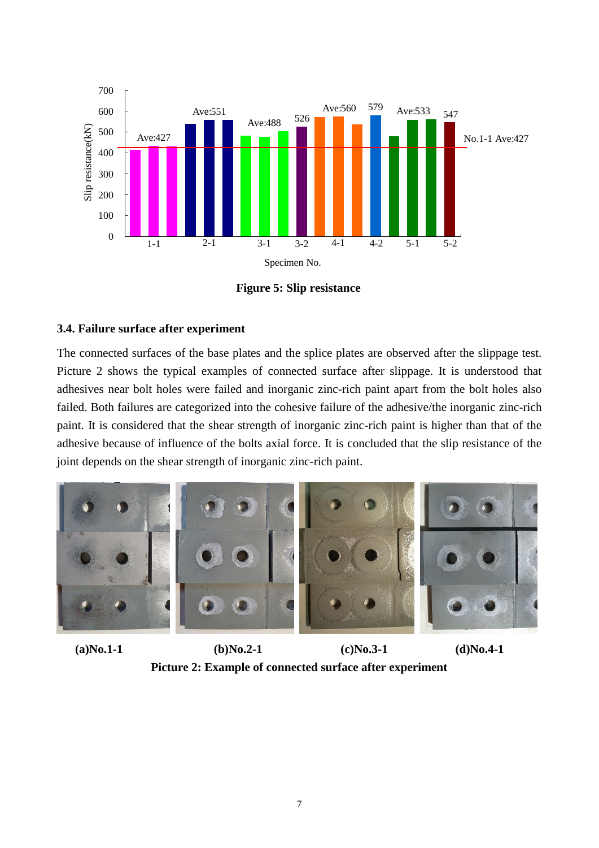

**Figure 5: Slip resistance**

# **3.4. Failure surface after experiment**

The connected surfaces of the base plates and the splice plates are observed after the slippage test. Picture 2 shows the typical examples of connected surface after slippage. It is understood that adhesives near bolt holes were failed and inorganic zinc-rich paint apart from the bolt holes also failed. Both failures are categorized into the cohesive failure of the adhesive/the inorganic zinc-rich paint. It is considered that the shear strength of inorganic zinc-rich paint is higher than that of the adhesive because of influence of the bolts axial force. It is concluded that the slip resistance of the joint depends on the shear strength of inorganic zinc-rich paint.



**(a)No.1-1 (b)No.2-1 (c)No.3-1 (d)No.4-1 Picture 2: Example of connected surface after experiment**